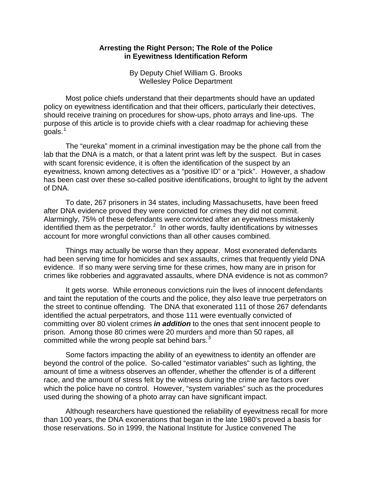## **Arresting the Right Person; The Role of the Police in Eyewitness Identification Reform**

By Deputy Chief William G. Brooks Wellesley Police Department

Most police chiefs understand that their departments should have an updated policy on eyewitness identification and that their officers, particularly their detectives, should receive training on procedures for show-ups, photo arrays and line-ups. The purpose of this article is to provide chiefs with a clear roadmap for achieving these goals. $1$ 

The "eureka" moment in a criminal investigation may be the phone call from the lab that the DNA is a match, or that a latent print was left by the suspect. But in cases with scant forensic evidence, it is often the identification of the suspect by an eyewitness, known among detectives as a "positive ID" or a "pick". However, a shadow has been cast over these so-called positive identifications, brought to light by the advent of DNA.

To date, 267 prisoners in 34 states, including Massachusetts, have been freed after DNA evidence proved they were convicted for crimes they did not commit. Alarmingly, 75% of these defendants were convicted after an eyewitness mistakenly identified them as the perpetrator.<sup>[2](#page-3-1)</sup> In other words, faulty identifications by witnesses account for more wrongful convictions than all other causes combined.

Things may actually be worse than they appear. Most exonerated defendants had been serving time for homicides and sex assaults, crimes that frequently yield DNA evidence. If so many were serving time for these crimes, how many are in prison for crimes like robberies and aggravated assaults, where DNA evidence is not as common?

It gets worse. While erroneous convictions ruin the lives of innocent defendants and taint the reputation of the courts and the police, they also leave true perpetrators on the street to continue offending. The DNA that exonerated 111 of those 267 defendants identified the actual perpetrators, and those 111 were eventually convicted of committing over 80 violent crimes *in addition* to the ones that sent innocent people to prison. Among those 80 crimes were 20 murders and more than 50 rapes, all committed while the wrong people sat behind bars. $3$ 

Some factors impacting the ability of an eyewitness to identity an offender are beyond the control of the police. So-called "estimator variables" such as lighting, the amount of time a witness observes an offender, whether the offender is of a different race, and the amount of stress felt by the witness during the crime are factors over which the police have no control. However, "system variables" such as the procedures used during the showing of a photo array can have significant impact.

Although researchers have questioned the reliability of eyewitness recall for more than 100 years, the DNA exonerations that began in the late 1980's proved a basis for those reservations. So in 1999, the National Institute for Justice convened The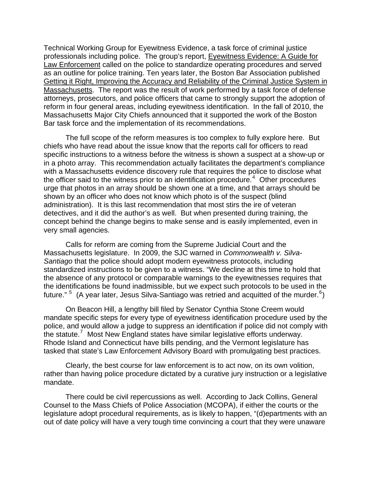Technical Working Group for Eyewitness Evidence, a task force of criminal justice professionals including police. The group's report, Eyewitness Evidence: A Guide for Law Enforcement called on the police to standardize operating procedures and served as an outline for police training. Ten years later, the Boston Bar Association published Getting it Right, Improving the Accuracy and Reliability of the Criminal Justice System in Massachusetts. The report was the result of work performed by a task force of defense attorneys, prosecutors, and police officers that came to strongly support the adoption of reform in four general areas, including eyewitness identification. In the fall of 2010, the Massachusetts Major City Chiefs announced that it supported the work of the Boston Bar task force and the implementation of its recommendations.

The full scope of the reform measures is too complex to fully explore here. But chiefs who have read about the issue know that the reports call for officers to read specific instructions to a witness before the witness is shown a suspect at a show-up or in a photo array. This recommendation actually facilitates the department's compliance with a Massachusetts evidence discovery rule that requires the police to disclose what the officer said to the witness prior to an identification procedure.<sup>[4](#page-3-3)</sup> Other procedures urge that photos in an array should be shown one at a time, and that arrays should be shown by an officer who does not know which photo is of the suspect (blind administration). It is this last recommendation that most stirs the ire of veteran detectives, and it did the author's as well. But when presented during training, the concept behind the change begins to make sense and is easily implemented, even in very small agencies.

Calls for reform are coming from the Supreme Judicial Court and the Massachusetts legislature. In 2009, the SJC warned in *Commonwealth v. Silva-Santiago* that the police should adopt modern eyewitness protocols, including standardized instructions to be given to a witness. "We decline at this time to hold that the absence of any protocol or comparable warnings to the eyewitnesses requires that the identifications be found inadmissible, but we expect such protocols to be used in the future."  $5$  (A year later, Jesus Silva-Santiago was retried and acquitted of the murder.  $6$ )

On Beacon Hill, a lengthy bill filed by Senator Cynthia Stone Creem would mandate specific steps for every type of eyewitness identification procedure used by the police, and would allow a judge to suppress an identification if police did not comply with the statute.<sup>[7](#page-3-6)</sup> Most New England states have similar legislative efforts underway. Rhode Island and Connecticut have bills pending, and the Vermont legislature has tasked that state's Law Enforcement Advisory Board with promulgating best practices.

Clearly, the best course for law enforcement is to act now, on its own volition, rather than having police procedure dictated by a curative jury instruction or a legislative mandate.

There could be civil repercussions as well. According to Jack Collins, General Counsel to the Mass Chiefs of Police Association (MCOPA), if either the courts or the legislature adopt procedural requirements, as is likely to happen, "(d)epartments with an out of date policy will have a very tough time convincing a court that they were unaware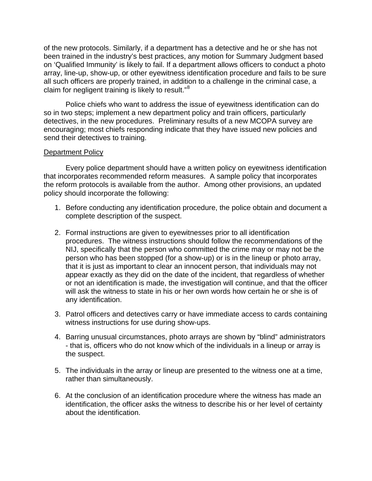of the new protocols. Similarly, if a department has a detective and he or she has not been trained in the industry's best practices, any motion for Summary Judgment based on 'Qualified Immunity' is likely to fail. If a department allows officers to conduct a photo array, line-up, show-up, or other eyewitness identification procedure and fails to be sure all such officers are properly trained, in addition to a challenge in the criminal case, a claim for negligent training is likely to result."<sup>[8](#page-3-7)</sup>

Police chiefs who want to address the issue of eyewitness identification can do so in two steps; implement a new department policy and train officers, particularly detectives, in the new procedures. Preliminary results of a new MCOPA survey are encouraging; most chiefs responding indicate that they have issued new policies and send their detectives to training.

## Department Policy

Every police department should have a written policy on eyewitness identification that incorporates recommended reform measures. A sample policy that incorporates the reform protocols is available from the author. Among other provisions, an updated policy should incorporate the following:

- 1. Before conducting any identification procedure, the police obtain and document a complete description of the suspect.
- 2. Formal instructions are given to eyewitnesses prior to all identification procedures. The witness instructions should follow the recommendations of the NIJ, specifically that the person who committed the crime may or may not be the person who has been stopped (for a show-up) or is in the lineup or photo array, that it is just as important to clear an innocent person, that individuals may not appear exactly as they did on the date of the incident, that regardless of whether or not an identification is made, the investigation will continue, and that the officer will ask the witness to state in his or her own words how certain he or she is of any identification.
- 3. Patrol officers and detectives carry or have immediate access to cards containing witness instructions for use during show-ups.
- 4. Barring unusual circumstances, photo arrays are shown by "blind" administrators - that is, officers who do not know which of the individuals in a lineup or array is the suspect.
- 5. The individuals in the array or lineup are presented to the witness one at a time, rather than simultaneously.
- 6. At the conclusion of an identification procedure where the witness has made an identification, the officer asks the witness to describe his or her level of certainty about the identification.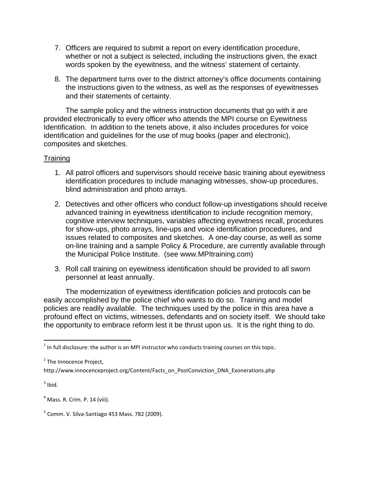- <span id="page-3-5"></span>7. Officers are required to submit a report on every identification procedure, whether or not a subject is selected, including the instructions given, the exact words spoken by the eyewitness, and the witness' statement of certainty.
- <span id="page-3-6"></span>8. The department turns over to the district attorney's office documents containing the instructions given to the witness, as well as the responses of eyewitnesses and their statements of certainty.

<span id="page-3-7"></span>The sample policy and the witness instruction documents that go with it are provided electronically to every officer who attends the MPI course on Eyewitness Identification. In addition to the tenets above, it also includes procedures for voice identification and guidelines for the use of mug books (paper and electronic), composites and sketches.

## **Training**

- 1. All patrol officers and supervisors should receive basic training about eyewitness identification procedures to include managing witnesses, show-up procedures, blind administration and photo arrays.
- 2. Detectives and other officers who conduct follow-up investigations should receive advanced training in eyewitness identification to include recognition memory, cognitive interview techniques, variables affecting eyewitness recall, procedures for show-ups, photo arrays, line-ups and voice identification procedures, and issues related to composites and sketches. A one-day course, as well as some on-line training and a sample Policy & Procedure, are currently available through the Municipal Police Institute. (see www.MPItraining.com)
- 3. Roll call training on eyewitness identification should be provided to all sworn personnel at least annually.

The modernization of eyewitness identification policies and protocols can be easily accomplished by the police chief who wants to do so. Training and model policies are readily available. The techniques used by the police in this area have a profound effect on victims, witnesses, defendants and on society itself. We should take the opportunity to embrace reform lest it be thrust upon us. It is the right thing to do.

<span id="page-3-2"></span> $3$  Ibid.

<span id="page-3-0"></span> $^1$  In full disclosure: the author is an MPI instructor who conducts training courses on this topic.

<span id="page-3-1"></span><sup>&</sup>lt;sup>2</sup> The Innocence Project,

http://www.innocenceproject.org/Content/Facts\_on\_PostConviction\_DNA\_Exonerations.php

<span id="page-3-3"></span><sup>4</sup> Mass. R. Crim. P. 14 (viii).

<span id="page-3-4"></span><sup>5</sup> Comm. V. Silva‐Santiago 453 Mass. 782 (2009).